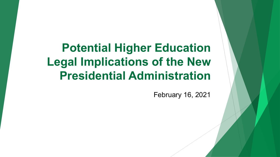**Potential Higher Education Legal Implications of the New Presidential Administration**

February 16, 2021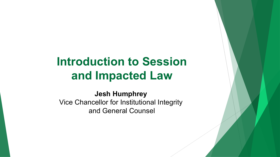# **Introduction to Session and Impacted Law**

**Jesh Humphrey**  Vice Chancellor for Institutional Integrity and General Counsel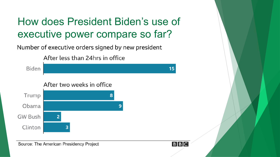## How does President Biden's use of executive power compare so far?

Number of executive orders signed by new president

After less than 24hrs in office

After two weeks in office Trump Obama GW Bush Clinton

Source: The American Presidency Project

Biden



 $15$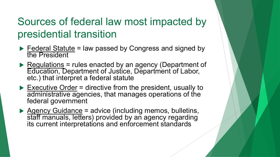## Sources of federal law most impacted by presidential transition

- $\blacktriangleright$  Federal Statute = law passed by Congress and signed by the President
- Regulations = rules enacted by an agency (Department of Education, Department of Justice, Department of Labor, etc.) that interpret a federal statute
- $\triangleright$  Executive Order = directive from the president, usually to administrative agencies, that manages operations of the federal government
- $\triangleright$  Agency Guidance = advice (including memos, bulletins, staff manuals, letters) provided by an agency regarding its current interpretations and enforcement standards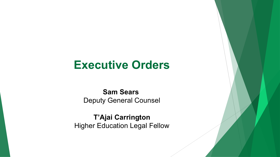### **Executive Orders**

**Sam Sears**  Deputy General Counsel

**T'Ajai Carrington** Higher Education Legal Fellow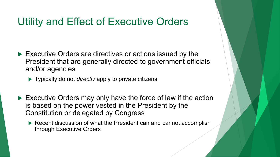### Utility and Effect of Executive Orders

- $\blacktriangleright$  Executive Orders are directives or actions issued by the President that are generally directed to government officials and/or agencies
	- **Typically do not** *directly* **apply to private citizens**
- $\triangleright$  Executive Orders may only have the force of law if the action is based on the power vested in the President by the Constitution or delegated by Congress
	- $\blacktriangleright$  Recent discussion of what the President can and cannot accomplish through Executive Orders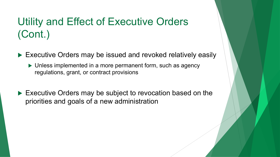## Utility and Effect of Executive Orders (Cont.)

- $\blacktriangleright$  Executive Orders may be issued and revoked relatively easily
	- $\blacktriangleright$  Unless implemented in a more permanent form, such as agency regulations, grant, or contract provisions
- $\blacktriangleright$  Executive Orders may be subject to revocation based on the priorities and goals of a new administration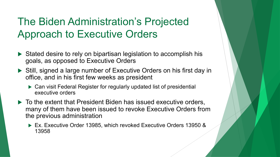## The Biden Administration's Projected Approach to Executive Orders

- $\triangleright$  Stated desire to rely on bipartisan legislation to accomplish his goals, as opposed to Executive Orders
- ▶ Still, signed a large number of Executive Orders on his first day in office, and in his first few weeks as president
	- $\triangleright$  Can visit Federal Register for regularly updated list of presidential executive orders
- $\blacktriangleright$  To the extent that President Biden has issued executive orders, many of them have been issued to revoke Executive Orders from the previous administration
	- ▶ Ex. Executive Order 13985, which revoked Executive Orders 13950 & 13958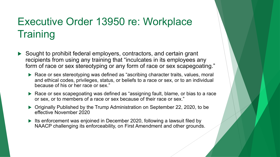## Executive Order 13950 re: Workplace **Training**

- $\triangleright$  Sought to prohibit federal employers, contractors, and certain grant recipients from using any training that "inculcates in its employees any form of race or sex stereotyping or any form of race or sex scapegoating."
	- ▶ Race or sex stereotyping was defined as "ascribing character traits, values, moral and ethical codes, privileges, status, or beliefs to a race or sex, or to an individual because of his or her race or sex."
	- Race or sex scapegoating was defined as "assigning fault, blame, or bias to a race or sex, or to members of a race or sex because of their race or sex."
	- ▶ Originally Published by the Trump Administration on September 22, 2020, to be effective November 2020
	- Its enforcement was enjoined in December 2020, following a lawsuit filed by NAACP challenging its enforceability, on First Amendment and other grounds.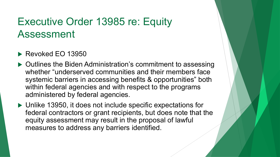## Executive Order 13985 re: Equity Assessment

#### $\blacktriangleright$  Revoked EO 13950

- $\triangleright$  Outlines the Biden Administration's commitment to assessing whether "underserved communities and their members face systemic barriers in accessing benefits & opportunities" both within federal agencies and with respect to the programs administered by federal agencies.
- $\triangleright$  Unlike 13950, it does not include specific expectations for federal contractors or grant recipients, but does note that the equity assessment may result in the proposal of lawful measures to address any barriers identified.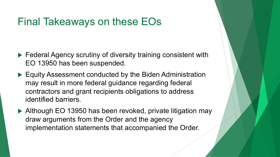### Final Takeaways on these EOs

- $\blacktriangleright$  Federal Agency scrutiny of diversity training consistent with EO 13950 has been suspended.
- $\blacktriangleright$  Equity Assessment conducted by the Biden Administration may result in more federal guidance regarding federal contractors and grant recipients obligations to address identified barriers.
- $\blacktriangleright$  Although EO 13950 has been revoked, private litigation may draw arguments from the Order and the agency implementation statements that accompanied the Order.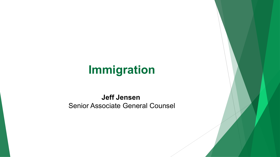# **Immigration**

#### **Jeff Jensen**  Senior Associate General Counsel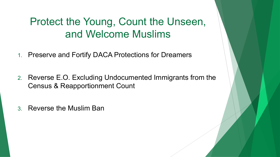## Protect the Young, Count the Unseen, and Welcome Muslims

- 1. Preserve and Fortify DACA Protections for Dreamers
- 2. Reverse E.O. Excluding Undocumented Immigrants from the Census & Reapportionment Count
- 3. Reverse the Muslim Ban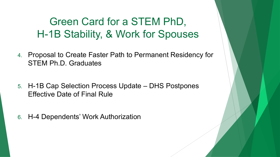Green Card for a STEM PhD, H-1B Stability, & Work for Spouses

- 4. Proposal to Create Faster Path to Permanent Residency for STEM Ph.D. Graduates
- 5. H-1B Cap Selection Process Update DHS Postpones Effective Date of Final Rule
- 6. H-4 Dependents' Work Authorization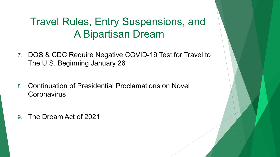## Travel Rules, Entry Suspensions, and A Bipartisan Dream

- 7. DOS & CDC Require Negative COVID-19 Test for Travel to The U.S. Beginning January 26
- 8. Continuation of Presidential Proclamations on Novel **Coronavirus**
- 9. The Dream Act of 2021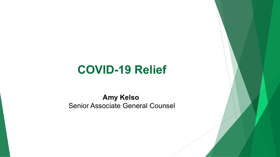# **COVID-19 Relief**

**Amy Kelso**  Senior Associate General Counsel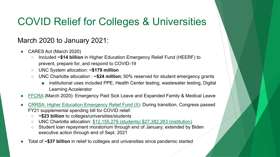# **[COVID](https://www.dol.gov/agencies/whd/pandemic/ffcra-employee-paid-leave) Relief for Colleges & University**

#### March 2020 to January 2021:

- CARES Act (March 2020)
	- **O** Included ~\$14 billion in Higher Education Emergency Relief Fund ( prevent, prepare for, and respond to COVID-19
	- UNC System allocation: **~\$179 million**
	- UNC Charlotte allocation : ~\$24 million; 50% reserved for student e
		- institutional uses included PPE, Health Center testing, wastewater Learning Accelerator
- FFCRA (March 2020): Emergency Paid Sick Leave and Expanded Family
- CRRSA: Higher Education Emergency Relief Fund (II): During transition, FY21 supplemental spending bill for COVID relief:
	- **~\$23 billion** to colleges/universities/students
	- UNC Charlotte allocation: \$12,155,279 (students) \$27,382,263 (insti
	- o Student loan repayment moratorium through end of January; extend executive action through end of Sept. 2021
- Total of ~\$37 billion in relief to colleges and universities since pandemic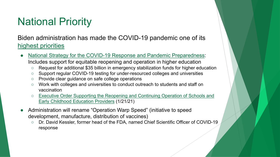## Na[tional Priority](https://www.whitehouse.gov/briefing-room/presidential-actions/2021/01/21/executive-order-supporting-the-reopening-and-continuing-operation-of-schools-and-early-childhood-education-providers/)

Biden administration has made the COVID-19 pandemic highest priorities

- National Strategy for the COVID-19 Response and Pandemic Pre Includes support for equitable reopening and operation in higher
	- Request for additional \$35 billion in emergency stabilization funds for
	- Support regular COVID-19 testing for under-resourced colleges and
	- Provide clear guidance on safe college operations
	- Work with colleges and universities to conduct outreach to students vaccination
	- Executive Order Supporting the Reopening and Continuing Operation Early Childhood Education Providers (1/21/21)
- Administration will rename "Operation Warp Speed" (initiative to speed") development, manufacture, distribution of vaccines)
	- Dr. David Kessler, former head of the FDA, named Chief Scientific O response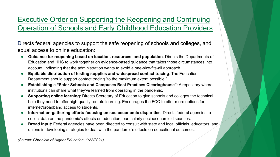#### Executive Order on Supporting the Reopening and Continuity Operation of Schools and Early Childhood Education

Directs federal agencies to support the safe reopening of schools and equal access to online education:

- **Guidance for reopening based on location, resources, and population: Directs** Education and HHS to work together on evidence-based guidance that takes those account, indicating that the administration wants to avoid a one-size-fits-all approacl
- **Equitable distribution of testing supplies and widespread contact tracing: The** Department should support contact tracing "to the maximum extent possible."
- **Establishing a "Safer Schools and Campuses Best Practices Clearinghouse":** institutions can share what they've learned from operating in the pandemic.
- **Supporting online learning: Directs Secretary of Education to give schools and co** help they need to offer high-quality remote learning. Encourages the FCC to offer m internet/broadband access to students.
- **Information-gathering efforts focusing on socioeconomic disparities**: Directs fo collect data on the pandemic's effects on education, particularly socioeconomic disparent
- **Broad input: Federal agencies have been directed to consult with state and local of** unions in developing strategies to deal with the pandemic's effects on educational o

*(Source: Chronicle of Higher Education, 1/22/2021)*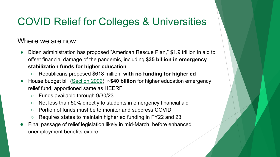## **COVID Relief for Colleges & University**

#### Where we are now:

- Biden administration has proposed "American Rescue Plan," \$1.9 offset financial damage of the pandemic, including \$35 billion in **stabilization funds for higher education**
	- Republicans proposed \$618 million, with no funding for high
- House budget bill (Section 2002): ~\$40 billion for higher education relief fund, apportioned same as HEERF
	- Funds available through 9/30/23
	- Not less than 50% directly to students in emergency financia
	- Portion of funds must be to monitor and suppress COVID
	- Requires states to maintain higher ed funding in FY22 and 23
- Final passage of relief legislation likely in mid-March, before enha unemployment benefits expire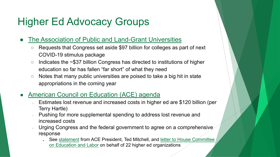# [Higher Ed Advocacy Groups](https://www.acenet.edu/Policy-Advocacy/Pages/COVID-19-Policy-Developments.aspx)

#### The Association of Public and Land-Grant Universitie

- Requests that Congress set aside \$97 billion for colleges as COVID-19 stimulus package
- $\circ$  Indicates the  $\sim$ \$37 billion Congress has directed to institution edu[cation so far has fallen "far short" of what they need](https://www.acenet.edu/Documents/Letter-House-Committee-Education-Labor-Budget-Reconciliation-020821.pdf)
- $\circ$  Notes that many public universities are poised to take a big hit appropriations in the coming year

#### American Council on Education (ACE) agenda

- Estimates lost revenue and increased costs in higher ed are Terry Hartle)
- o Pushing for more supplemental spending to address lost revenue increased costs
- Urging Congress and the federal government to agree on a response
	- See statement from ACE President, Ted Mitchell, and letter to H on Education and Labor on behalf of 22 higher ed organization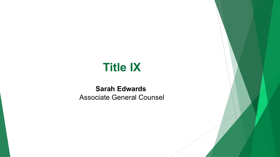# **Title IX**

#### **Sarah Edwards**  Associate General Counsel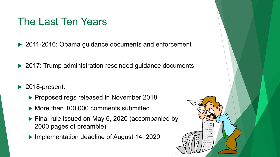### The Last Ten Years

▶ 2011-2016: Obama guidance documents and enforcement

 $\triangleright$  2017: Trump administration rescinded guidance documents

- $\blacktriangleright$  2018-present:
	- ▶ Proposed regs released in November 2018
	- $\blacktriangleright$  More than 100,000 comments submitted
	- $\blacktriangleright$  Final rule issued on May 6, 2020 (accompanied by 2000 pages of preamble)
	- $\blacktriangleright$  Implementation deadline of August 14, 2020

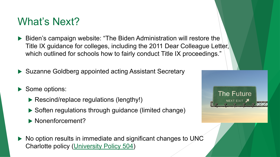### What's Next?

- $\blacktriangleright$  Biden's campaign website: "The Biden Administration Title IX guidance for colleges, including the 2011 Dear which outlined for schools how to fairly conduct Title I)
- $\blacktriangleright$  Suzanne Goldbe[rg appointed acting A](https://legal.uncc.edu/policies/up-504)ssistant Secretary
- Some options:
	- $\blacktriangleright$  Rescind/replace regulations (lengthy!)
	- $\blacktriangleright$  Soften regulations through guidance (limited change
	- $\blacktriangleright$  Nonenforcement?
- $\triangleright$  No option results in immediate and significant changes Charlotte policy (University Policy 504)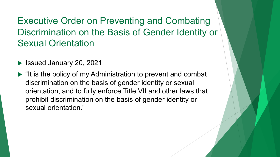Executive Order on Preventing and Combating Discrimination on the Basis of Gender Identity or Sexual Orientation

- ▶ Issued January 20, 2021
- $\blacktriangleright$  "It is the policy of my Administration to prevent and combat discrimination on the basis of gender identity or sexual orientation, and to fully enforce Title VII and other laws that prohibit discrimination on the basis of gender identity or sexual orientation."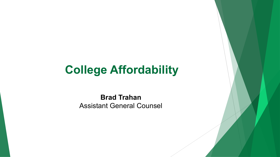# **College Affordability**

**Brad Trahan**  Assistant General Counsel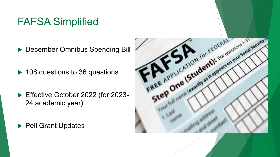## FAFSA Simplified

- December Omnibus Spending Bill
- $\blacktriangleright$  108 questions to 36 questions
- ▶ Effective October 2022 (for 2023-24 academic year)
- ▶ Pell Grant Updates

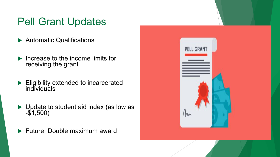## Pell Grant Updates

- $\blacktriangleright$  Automatic Qualifications
- $\blacktriangleright$  Increase to the income limits for receiving the grant
- $\blacktriangleright$  Eligibility extended to incarcerated individuals
- $\blacktriangleright$  Update to student aid index (as low as -\$1,500)
- $\blacktriangleright$  Future: Double maximum award

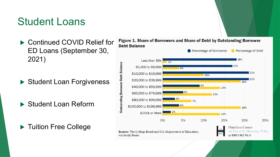### Student Loans

▶ Continued COVID Relief for ED Loans (September 30, 2021)

Student Loan Forgiveness

▶ Student Loan Reform

▶ Tuition Free College